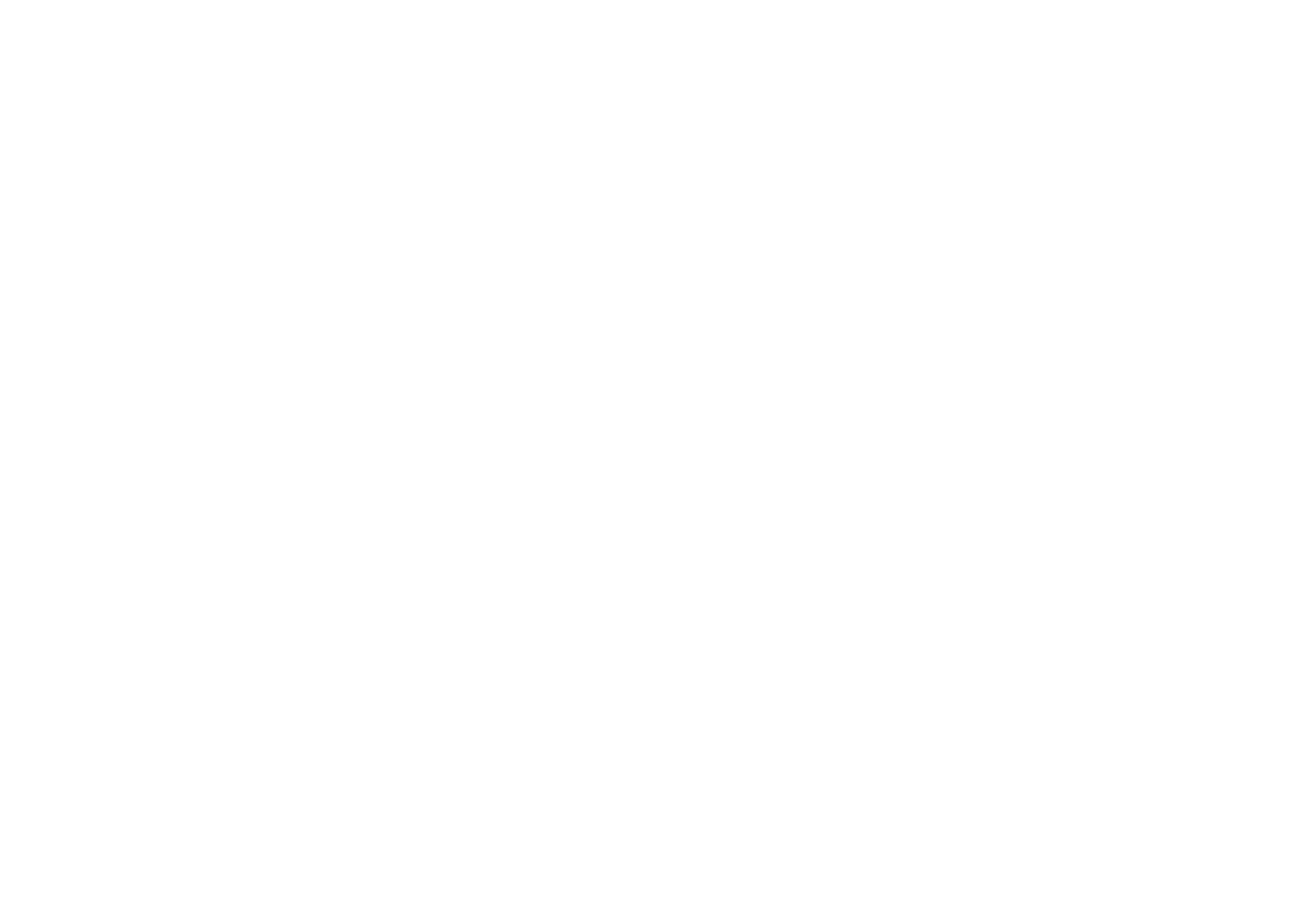

**KRISHNA BHAGYA JALA NIGAM LIMITED GOVERNMENT OF KARNATAKA** 

## **EXTENSION OF BUDIHAL PEERAPUR LIFT IRRIGATION SCHEME NEAR SIDDAPUR VILLAGE, MUDDEBIHAL TALUK, VIJAYAPURA DISTRICT**

## **DRAFT ENVIRONMENTAL IMPACT ASSESSMEMENT REPORT FOR CONDUCTING ENVIRONMNETAL PUBLIC CONSULTATION**



**Schedule 1(c) of EIA Notification, 2006, Category-B1, Command area: 17,805 Ha) Project Cost: 549.70 Crores (Revised Cost: 697.50 Cr.) Study period: December, 2020 to February, 2021**

**Project by Chief Engineer, Krishna Bhagya Jala Nigam Ltd., O&M Zone, Narayanapura-585219**



**APRIL 2021**

**Document No. EHSCPL/KBJNL/2020-21/EBPLIS-M**